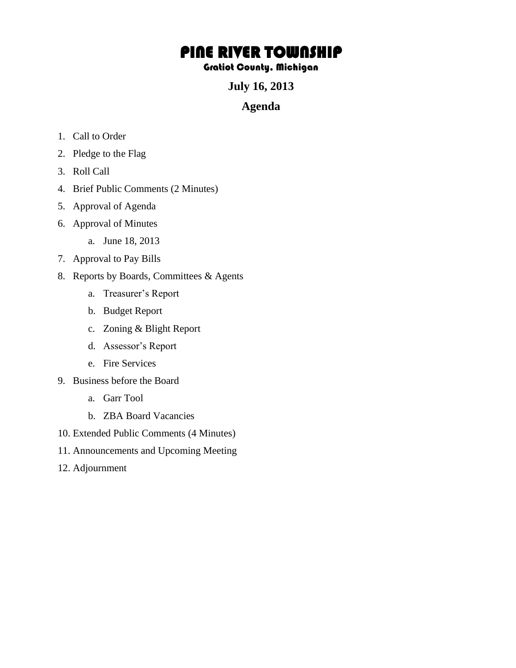## PINE RIVER TOWNSHIP

## Gratiot County, Michigan

**July 16, 2013** 

## **Agenda**

- 1. Call to Order
- 2. Pledge to the Flag
- 3. Roll Call
- 4. Brief Public Comments (2 Minutes)
- 5. Approval of Agenda
- 6. Approval of Minutes
	- a. June 18, 2013
- 7. Approval to Pay Bills
- 8. Reports by Boards, Committees & Agents
	- a. Treasurer's Report
	- b. Budget Report
	- c. Zoning & Blight Report
	- d. Assessor's Report
	- e. Fire Services
- 9. Business before the Board
	- a. Garr Tool
	- b. ZBA Board Vacancies
- 10. Extended Public Comments (4 Minutes)
- 11. Announcements and Upcoming Meeting
- 12. Adjournment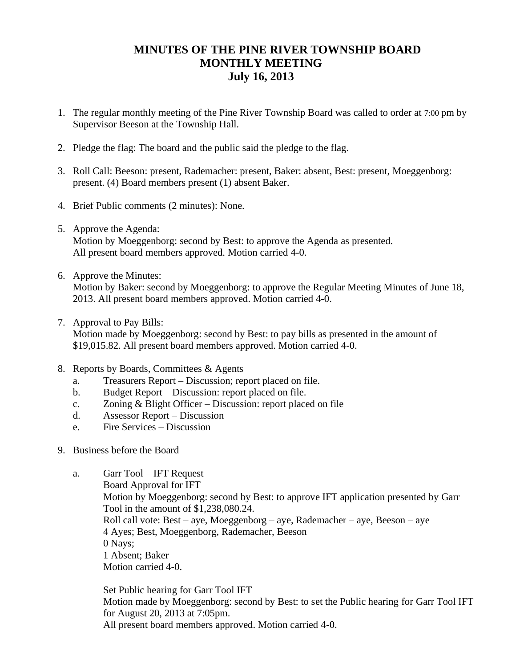## **MINUTES OF THE PINE RIVER TOWNSHIP BOARD MONTHLY MEETING July 16, 2013**

- 1. The regular monthly meeting of the Pine River Township Board was called to order at 7:00 pm by Supervisor Beeson at the Township Hall.
- 2. Pledge the flag: The board and the public said the pledge to the flag.
- 3. Roll Call: Beeson: present, Rademacher: present, Baker: absent, Best: present, Moeggenborg: present. (4) Board members present (1) absent Baker.
- 4. Brief Public comments (2 minutes): None.
- 5. Approve the Agenda: Motion by Moeggenborg: second by Best: to approve the Agenda as presented. All present board members approved. Motion carried 4-0.
- 6. Approve the Minutes: Motion by Baker: second by Moeggenborg: to approve the Regular Meeting Minutes of June 18, 2013. All present board members approved. Motion carried 4-0.
- 7. Approval to Pay Bills:

Motion made by Moeggenborg: second by Best: to pay bills as presented in the amount of \$19,015.82. All present board members approved. Motion carried 4-0.

- 8. Reports by Boards, Committees & Agents
	- a. Treasurers Report Discussion; report placed on file.
	- b. Budget Report Discussion: report placed on file.
	- c. Zoning & Blight Officer Discussion: report placed on file
	- d. Assessor Report Discussion
	- e. Fire Services Discussion
- 9. Business before the Board
	- a. Garr Tool IFT Request
		- Board Approval for IFT

Motion by Moeggenborg: second by Best: to approve IFT application presented by Garr Tool in the amount of \$1,238,080.24.

Roll call vote: Best – aye, Moeggenborg – aye, Rademacher – aye, Beeson – aye 4 Ayes; Best, Moeggenborg, Rademacher, Beeson

0 Nays;

1 Absent; Baker

Motion carried 4-0.

Set Public hearing for Garr Tool IFT

Motion made by Moeggenborg: second by Best: to set the Public hearing for Garr Tool IFT for August 20, 2013 at 7:05pm.

All present board members approved. Motion carried 4-0.